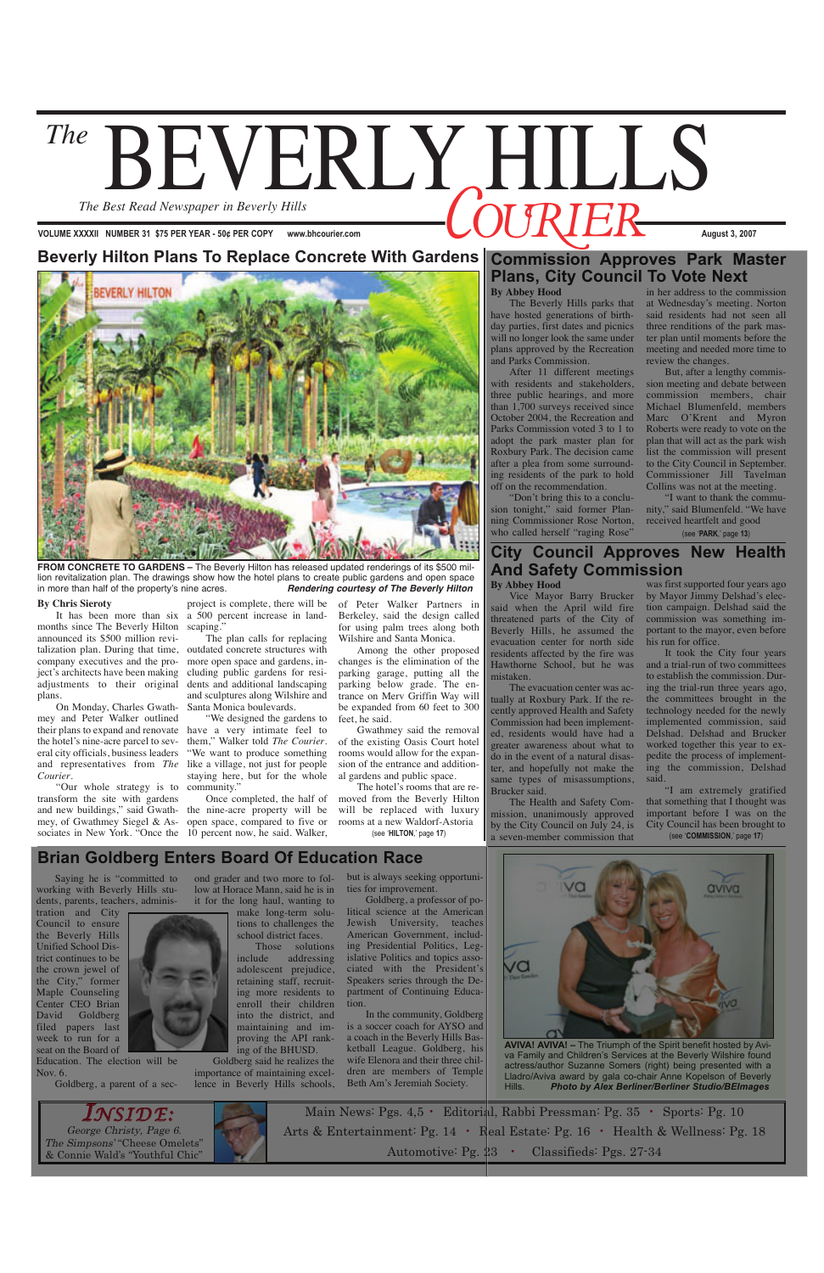# The **BEVERLY HILLS** *The Best Read Newspaper in Beverly Hills*

**VOLUME XXXXII NUMBER 31 \$75 PER YEAR - 50¢ PER COPY www.bhcourier.com August 3, 2007** 

Main News: Pgs. 4,5 • Editorial, Rabbi Pressman: Pg. 35 • Sports: Pg. 10 Arts & Entertainment: Pg. 14 • Real Estate: Pg. 16 • Health & Wellness: Pg. 18 Automotive: Pg. 23 • Classifieds: Pgs. 27-34

George Christy, Page 6. The Simpsons' "Cheese Omelets" & Connie Wald's "Youthful Chic" *INSIDE:*





**FROM CONCRETE TO GARDENS –** The Beverly Hilton has released updated renderings of its \$500 million revitalization plan. The drawings show how the hotel plans to create public gardens and open space in more than half of the property's nine acres. *Rendering courtesy of The Beverly Hilton*

### **Beverly Hilton Plans To Replace Concrete With Gardens**

#### **By Chris Sieroty**

months since The Beverly Hilton scaping." announced its \$500 million revitalization plan. During that time, outdated concrete structures with company executives and the project's architects have been making adjustments to their original plans.

It has been more than six a 500 percent increase in landproject is complete, there will be

On Monday, Charles Gwathmey and Peter Walker outlined their plans to expand and renovate have a very intimate feel to the hotel's nine-acre parcel to several city officials, business leaders and representatives from *The* like a village, not just for people *Courier*.

> The hotel's rooms that are removed from the Beverly Hilton will be replaced with luxury rooms at a new Waldorf-Astoria<br>(see 'HILTON,' page 17)

The plan calls for replacing more open space and gardens, including public gardens for residents and additional landscaping and sculptures along Wilshire and Santa Monica boulevards.

"Don't bring this to a conclusion tonight," said former Planning Commissioner Rose Norton, who called herself "raging Rose"

"Our whole strategy is to transform the site with gardens and new buildings," said Gwathmey, of Gwathmey Siegel & Associates in New York. "Once the 10 percent now, he said. Walker, (see '**HILTON**,' page **17**)

"We designed the gardens to them," Walker told *The Courier*. "We want to produce something staying here, but for the whole community."

Once completed, the half of the nine-acre property will be open space, compared to five or

of Peter Walker Partners in Berkeley, said the design called for using palm trees along both Wilshire and Santa Monica.

Among the other proposed changes is the elimination of the parking garage, putting all the parking below grade. The entrance on Merv Griffin Way will be expanded from 60 feet to 300 feet, he said.

Gwathmey said the removal of the existing Oasis Court hotel rooms would allow for the expansion of the entrance and additional gardens and public space.

## **Commission Approves Park Master Plans, City Council To Vote Next**

### **By Abbey Hood**

The Beverly Hills parks that have hosted generations of birthday parties, first dates and picnics will no longer look the same under plans approved by the Recreation and Parks Commission.

> (see '**COMMISSION**,' page **17**) "I am extremely gratified that something that I thought was important before I was on the City Council has been brought to

Beverly Hills Unified School District continues to be the crown jewel of the City," former Maple Counseling Center CEO Brian David Goldberg filed papers last week to run for a seat on the Board of

After 11 different meetings with residents and stakeholders, three public hearings, and more than 1,700 surveys received since October 2004, the Recreation and Parks Commission voted 3 to 1 to adopt the park master plan for Roxbury Park. The decision came after a plea from some surrounding residents of the park to hold off on the recommendation.

in her address to the commission at Wednesday's meeting. Norton said residents had not seen all three renditions of the park master plan until moments before the meeting and needed more time to review the changes.

But, after a lengthy commission meeting and debate between commission members, chair Michael Blumenfeld, members Marc O'Krent and Myron Roberts were ready to vote on the plan that will act as the park wish list the commission will present to the City Council in September. Commissioner Jill Tavelman Collins was not at the meeting.

"I want to thank the community," said Blumenfeld. "We have received heartfelt and good

#### (see '**PARK**,' page **13**)

# **City Council Approves New Health And Safety Commission**

### **By Abbey Hood**

Vice Mayor Barry Brucker said when the April wild fire threatened parts of the City of Beverly Hills, he assumed the evacuation center for north side residents affected by the fire was Hawthorne School, but he was mistaken.

The evacuation center was actually at Roxbury Park. If the recently approved Health and Safety Commission had been implemented, residents would have had a greater awareness about what to do in the event of a natural disaster, and hopefully not make the same types of misassumptions, Brucker said.

The Health and Safety Commission, unanimously approved by the City Council on July 24, is a seven-member commission that

was first supported four years ago by Mayor Jimmy Delshad's election campaign. Delshad said the commission was something important to the mayor, even before his run for office.

It took the City four years and a trial-run of two committees to establish the commission. During the trial-run three years ago, the committees brought in the technology needed for the newly implemented commission, said Delshad. Delshad and Brucker worked together this year to expedite the process of implementing the commission, Delshad said.

**AVIVA! AVIVA! –** The Triumph of the Spirit benefit hosted by Aviva Family and Children's Services at the Beverly Wilshire found actress/author Suzanne Somers (right) being presented with a Lladro/Aviva award by gala co-chair Anne Kopelson of Beverly Hills. *Photo by Alex Berliner/Berliner Studio/BEImages*

## **Brian Goldberg Enters Board Of Education Race**

Saying he is "committed to working with Beverly Hills students, parents, teachers, administration and City Council to ensure

Education. The election will be Nov. 6.

Goldberg, a parent of a sec-



low at Horace Mann, said he is in it for the long haul, wanting to make long-term solutions to challenges the

school district faces.

Those solutions include addressing adolescent prejudice, retaining staff, recruiting more residents to enroll their children into the district, and maintaining and improving the API rank-

ond grader and two more to folbut is always seeking opportunities for improvement.

ing of the BHUSD. Goldberg said he realizes the importance of maintaining excellence in Beverly Hills schools,

Goldberg, a professor of political science at the American Jewish University, teaches American Government, including Presidential Politics, Legislative Politics and topics associated with the President's Speakers series through the Department of Continuing Education.



In the community, Goldberg is a soccer coach for AYSO and a coach in the Beverly Hills Basketball League. Goldberg, his wife Elenora and their three children are members of Temple Beth Am's Jeremiah Society.